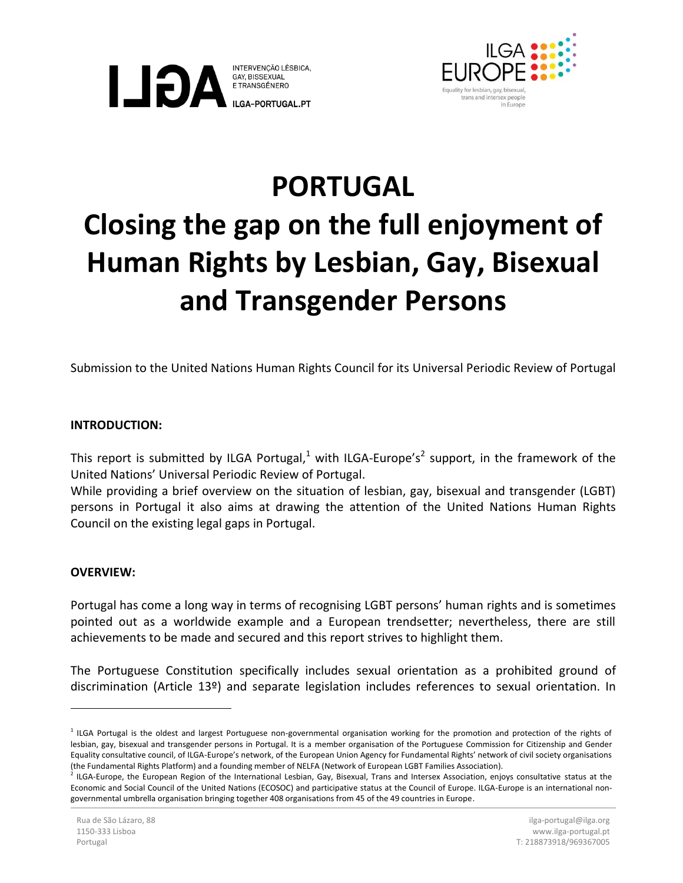



## **PORTUGAL Closing the gap on the full enjoyment of Human Rights by Lesbian, Gay, Bisexual and Transgender Persons**

Submission to the United Nations Human Rights Council for its Universal Periodic Review of Portugal

## **INTRODUCTION:**

This report is submitted by ILGA Portugal,<sup>1</sup> with ILGA-Europe's<sup>2</sup> support, in the framework of the United Nations' Universal Periodic Review of Portugal.

While providing a brief overview on the situation of lesbian, gay, bisexual and transgender (LGBT) persons in Portugal it also aims at drawing the attention of the United Nations Human Rights Council on the existing legal gaps in Portugal.

## **OVERVIEW:**

 $\overline{a}$ 

Portugal has come a long way in terms of recognising LGBT persons' human rights and is sometimes pointed out as a worldwide example and a European trendsetter; nevertheless, there are still achievements to be made and secured and this report strives to highlight them.

The Portuguese Constitution specifically includes sexual orientation as a prohibited ground of discrimination (Article 13º) and separate legislation includes references to sexual orientation. In

<sup>&</sup>lt;sup>1</sup> ILGA Portugal is the oldest and largest Portuguese non-governmental organisation working for the promotion and protection of the rights of lesbian, gay, bisexual and transgender persons in Portugal. It is a member organisation of the Portuguese Commission for Citizenship and Gender Equality consultative council, of ILGA-Europe's network, of the European Union Agency for Fundamental Rights' network of civil society organisations (the Fundamental Rights Platform) and a founding member of NELFA (Network of European LGBT Families Association).<br><sup>2</sup> U.C.A. Europe, the European Region of the International Lesbian. Cay, Risewell, Trans and Interesy Assoc

ILGA-Europe, the European Region of the International Lesbian, Gay, Bisexual, Trans and Intersex Association, enjoys consultative status at the Economic and Social Council of the United Nations (ECOSOC) and participative status at the Council of Europe. ILGA-Europe is an international nongovernmental umbrella organisation bringing together 408 organisations from 45 of the 49 countries in Europe.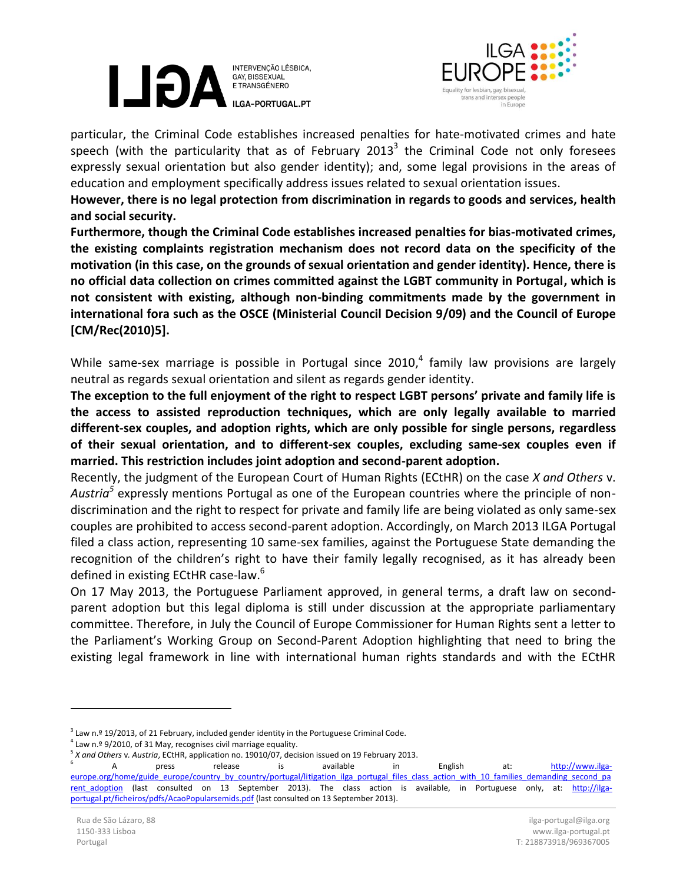



particular, the Criminal Code establishes increased penalties for hate-motivated crimes and hate speech (with the particularity that as of February 2013<sup>3</sup> the Criminal Code not only foresees expressly sexual orientation but also gender identity); and, some legal provisions in the areas of education and employment specifically address issues related to sexual orientation issues.

**However, there is no legal protection from discrimination in regards to goods and services, health and social security.**

**Furthermore, though the Criminal Code establishes increased penalties for bias-motivated crimes, the existing complaints registration mechanism does not record data on the specificity of the motivation (in this case, on the grounds of sexual orientation and gender identity). Hence, there is no official data collection on crimes committed against the LGBT community in Portugal, which is not consistent with existing, although non-binding commitments made by the government in international fora such as the OSCE (Ministerial Council Decision 9/09) and the Council of Europe [CM/Rec(2010)5].**

While same-sex marriage is possible in Portugal since 2010,<sup>4</sup> family law provisions are largely neutral as regards sexual orientation and silent as regards gender identity.

**The exception to the full enjoyment of the right to respect LGBT persons' private and family life is the access to assisted reproduction techniques, which are only legally available to married different-sex couples, and adoption rights, which are only possible for single persons, regardless of their sexual orientation, and to different-sex couples, excluding same-sex couples even if married. This restriction includes joint adoption and second-parent adoption.**

Recently, the judgment of the European Court of Human Rights (ECtHR) on the case *X and Others* v. *Austria<sup>5</sup>* expressly mentions Portugal as one of the European countries where the principle of nondiscrimination and the right to respect for private and family life are being violated as only same-sex couples are prohibited to access second-parent adoption. Accordingly, on March 2013 ILGA Portugal filed a class action, representing 10 same-sex families, against the Portuguese State demanding the recognition of the children's right to have their family legally recognised, as it has already been defined in existing ECtHR case-law.<sup>6</sup>

On 17 May 2013, the Portuguese Parliament approved, in general terms, a draft law on secondparent adoption but this legal diploma is still under discussion at the appropriate parliamentary committee. Therefore, in July the Council of Europe Commissioner for Human Rights sent a letter to the Parliament's Working Group on Second-Parent Adoption highlighting that need to bring the existing legal framework in line with international human rights standards and with the ECtHR

 $\overline{a}$ 

 $3$  Law n.º 19/2013, of 21 February, included gender identity in the Portuguese Criminal Code.

 $4$  Law n.º 9/2010, of 31 May, recognises civil marriage equality.

<sup>&</sup>lt;sup>5</sup> *X and Others v. Austria*, ECtHR, application no. 19010/07, decision issued on 19 February 2013.

A press release is available in English at: [http://www.ilga](http://www.ilga-europe.org/home/guide_europe/country_by_country/portugal/litigation_ilga_portugal_files_class_action_with_10_families_demanding_second_parent_adoption)[europe.org/home/guide\\_europe/country\\_by\\_country/portugal/litigation\\_ilga\\_portugal\\_files\\_class\\_action\\_with\\_10\\_families\\_demanding\\_second\\_pa](http://www.ilga-europe.org/home/guide_europe/country_by_country/portugal/litigation_ilga_portugal_files_class_action_with_10_families_demanding_second_parent_adoption) rent adoption (last consulted on 13 September 2013). The class action is available, in Portuguese only, at: [http://ilga](http://ilga-portugal.pt/ficheiros/pdfs/AcaoPopularsemids.pdf)[portugal.pt/ficheiros/pdfs/AcaoPopularsemids.pdf](http://ilga-portugal.pt/ficheiros/pdfs/AcaoPopularsemids.pdf) (last consulted on 13 September 2013).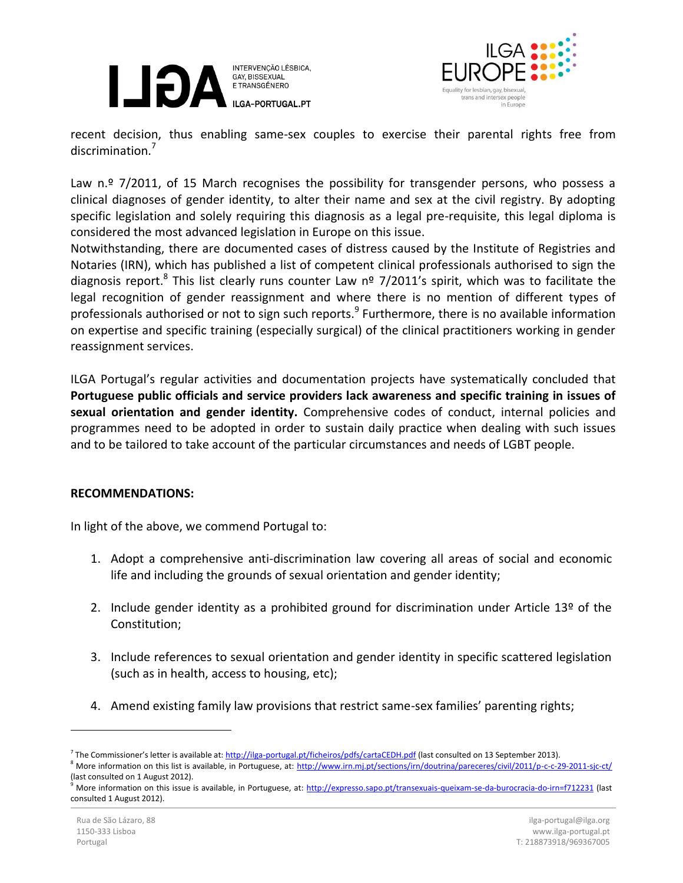



recent decision, thus enabling same-sex couples to exercise their parental rights free from discrimination.<sup>7</sup>

Law n.º 7/2011, of 15 March recognises the possibility for transgender persons, who possess a clinical diagnoses of gender identity, to alter their name and sex at the civil registry. By adopting specific legislation and solely requiring this diagnosis as a legal pre-requisite, this legal diploma is considered the most advanced legislation in Europe on this issue.

Notwithstanding, there are documented cases of distress caused by the Institute of Registries and Notaries (IRN), which has published a list of competent clinical professionals authorised to sign the diagnosis report.<sup>8</sup> This list clearly runs counter Law nº 7/2011's spirit, which was to facilitate the legal recognition of gender reassignment and where there is no mention of different types of professionals authorised or not to sign such reports.<sup>9</sup> Furthermore, there is no available information on expertise and specific training (especially surgical) of the clinical practitioners working in gender reassignment services.

ILGA Portugal's regular activities and documentation projects have systematically concluded that **Portuguese public officials and service providers lack awareness and specific training in issues of sexual orientation and gender identity.** Comprehensive codes of conduct, internal policies and programmes need to be adopted in order to sustain daily practice when dealing with such issues and to be tailored to take account of the particular circumstances and needs of LGBT people.

## **RECOMMENDATIONS:**

In light of the above, we commend Portugal to:

- 1. Adopt a comprehensive anti-discrimination law covering all areas of social and economic life and including the grounds of sexual orientation and gender identity;
- 2. Include gender identity as a prohibited ground for discrimination under Article  $13<sup>o</sup>$  of the Constitution;
- 3. Include references to sexual orientation and gender identity in specific scattered legislation (such as in health, access to housing, etc);
- 4. Amend existing family law provisions that restrict same-sex families' parenting rights;

 $\overline{a}$ 

<sup>&</sup>lt;sup>7</sup> The Commissioner's letter is available at: <http://ilga-portugal.pt/ficheiros/pdfs/cartaCEDH.pdf> (last consulted on 13 September 2013).

<sup>&</sup>lt;sup>8</sup> More information on this list is available, in Portuguese, at:<http://www.irn.mj.pt/sections/irn/doutrina/pareceres/civil/2011/p-c-c-29-2011-sjc-ct/> (last consulted on 1 August 2012).

More information on this issue is available, in Portuguese, at:<http://expresso.sapo.pt/transexuais-queixam-se-da-burocracia-do-irn=f712231> (last consulted 1 August 2012).